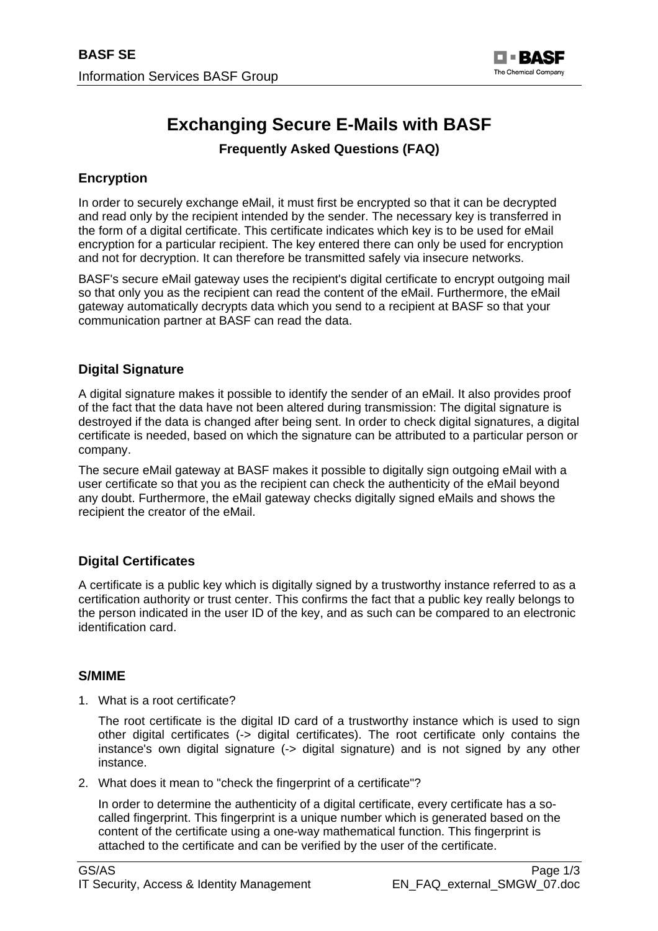

# **Exchanging Secure E-Mails with BASF**

**Frequently Asked Questions (FAQ)** 

## **Encryption**

In order to securely exchange eMail, it must first be encrypted so that it can be decrypted and read only by the recipient intended by the sender. The necessary key is transferred in the form of a digital certificate. This certificate indicates which key is to be used for eMail encryption for a particular recipient. The key entered there can only be used for encryption and not for decryption. It can therefore be transmitted safely via insecure networks.

BASF's secure eMail gateway uses the recipient's digital certificate to encrypt outgoing mail so that only you as the recipient can read the content of the eMail. Furthermore, the eMail gateway automatically decrypts data which you send to a recipient at BASF so that your communication partner at BASF can read the data.

### **Digital Signature**

A digital signature makes it possible to identify the sender of an eMail. It also provides proof of the fact that the data have not been altered during transmission: The digital signature is destroyed if the data is changed after being sent. In order to check digital signatures, a digital certificate is needed, based on which the signature can be attributed to a particular person or company.

The secure eMail gateway at BASF makes it possible to digitally sign outgoing eMail with a user certificate so that you as the recipient can check the authenticity of the eMail beyond any doubt. Furthermore, the eMail gateway checks digitally signed eMails and shows the recipient the creator of the eMail.

## **Digital Certificates**

A certificate is a public key which is digitally signed by a trustworthy instance referred to as a certification authority or trust center. This confirms the fact that a public key really belongs to the person indicated in the user ID of the key, and as such can be compared to an electronic identification card.

#### **S/MIME**

1. What is a root certificate?

The root certificate is the digital ID card of a trustworthy instance which is used to sign other digital certificates (-> digital certificates). The root certificate only contains the instance's own digital signature (-> digital signature) and is not signed by any other instance.

2. What does it mean to "check the fingerprint of a certificate"?

In order to determine the authenticity of a digital certificate, every certificate has a socalled fingerprint. This fingerprint is a unique number which is generated based on the content of the certificate using a one-way mathematical function. This fingerprint is attached to the certificate and can be verified by the user of the certificate.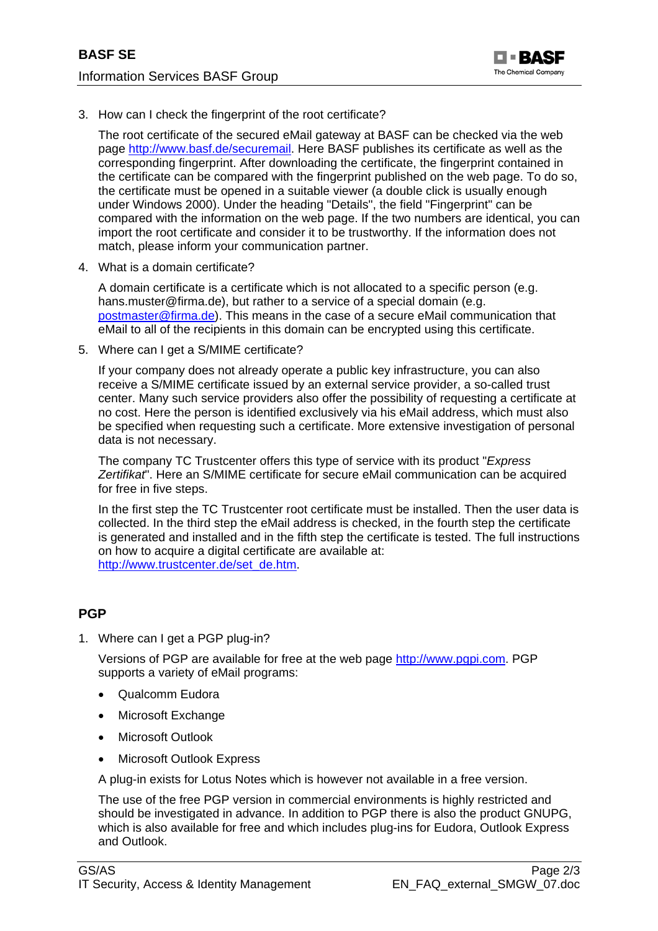

3. How can I check the fingerprint of the root certificate?

The root certificate of the secured eMail gateway at BASF can be checked via the web page<http://www.basf.de/securemail>. Here BASF publishes its certificate as well as the corresponding fingerprint. After downloading the certificate, the fingerprint contained in the certificate can be compared with the fingerprint published on the web page. To do so, the certificate must be opened in a suitable viewer (a double click is usually enough under Windows 2000). Under the heading "Details", the field "Fingerprint" can be compared with the information on the web page. If the two numbers are identical, you can import the root certificate and consider it to be trustworthy. If the information does not match, please inform your communication partner.

4. What is a domain certificate?

A domain certificate is a certificate which is not allocated to a specific person (e.g. hans.muster@firma.de), but rather to a service of a special domain (e.g. [postmaster@firma.de](mailto:postmaster@firma.de)). This means in the case of a secure eMail communication that eMail to all of the recipients in this domain can be encrypted using this certificate.

5. Where can I get a S/MIME certificate?

If your company does not already operate a public key infrastructure, you can also receive a S/MIME certificate issued by an external service provider, a so-called trust center. Many such service providers also offer the possibility of requesting a certificate at no cost. Here the person is identified exclusively via his eMail address, which must also be specified when requesting such a certificate. More extensive investigation of personal data is not necessary.

The company TC Trustcenter offers this type of service with its product "*Express Zertifikat*". Here an S/MIME certificate for secure eMail communication can be acquired for free in five steps.

In the first step the TC Trustcenter root certificate must be installed. Then the user data is collected. In the third step the eMail address is checked, in the fourth step the certificate is generated and installed and in the fifth step the certificate is tested. The full instructions on how to acquire a digital certificate are available at: [http://www.trustcenter.de/set\\_de.htm](http://www.trustcenter.de/set_de.htm).

#### **PGP**

1. Where can I get a PGP plug-in?

Versions of PGP are available for free at the web page [http://www.pgpi.com](http://www.pgpi.com/). PGP supports a variety of eMail programs:

- Qualcomm Eudora
- Microsoft Exchange
- Microsoft Outlook
- Microsoft Outlook Express

A plug-in exists for Lotus Notes which is however not available in a free version.

The use of the free PGP version in commercial environments is highly restricted and should be investigated in advance. In addition to PGP there is also the product GNUPG, which is also available for free and which includes plug-ins for Eudora, Outlook Express and Outlook.